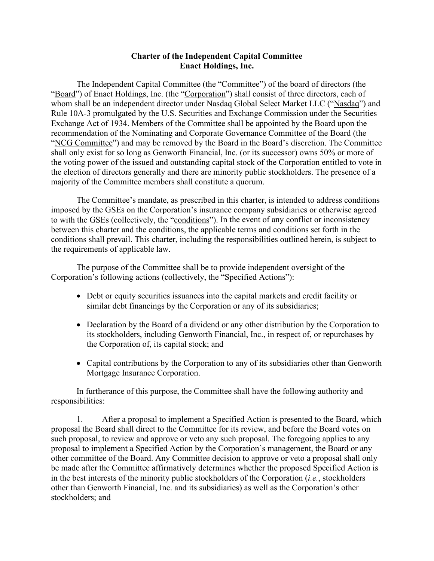## **Charter of the Independent Capital Committee Enact Holdings, Inc.**

The Independent Capital Committee (the "Committee") of the board of directors (the "Board") of Enact Holdings, Inc. (the "Corporation") shall consist of three directors, each of whom shall be an independent director under Nasdaq Global Select Market LLC ("Nasdaq") and Rule 10A-3 promulgated by the U.S. Securities and Exchange Commission under the Securities Exchange Act of 1934. Members of the Committee shall be appointed by the Board upon the recommendation of the Nominating and Corporate Governance Committee of the Board (the "NCG Committee") and may be removed by the Board in the Board's discretion. The Committee shall only exist for so long as Genworth Financial, Inc. (or its successor) owns 50% or more of the voting power of the issued and outstanding capital stock of the Corporation entitled to vote in the election of directors generally and there are minority public stockholders. The presence of a majority of the Committee members shall constitute a quorum.

The Committee's mandate, as prescribed in this charter, is intended to address conditions imposed by the GSEs on the Corporation's insurance company subsidiaries or otherwise agreed to with the GSEs (collectively, the "conditions"). In the event of any conflict or inconsistency between this charter and the conditions, the applicable terms and conditions set forth in the conditions shall prevail. This charter, including the responsibilities outlined herein, is subject to the requirements of applicable law.

The purpose of the Committee shall be to provide independent oversight of the Corporation's following actions (collectively, the "Specified Actions"):

- Debt or equity securities issuances into the capital markets and credit facility or similar debt financings by the Corporation or any of its subsidiaries;
- Declaration by the Board of a dividend or any other distribution by the Corporation to its stockholders, including Genworth Financial, Inc., in respect of, or repurchases by the Corporation of, its capital stock; and
- Capital contributions by the Corporation to any of its subsidiaries other than Genworth Mortgage Insurance Corporation.

In furtherance of this purpose, the Committee shall have the following authority and responsibilities:

1. After a proposal to implement a Specified Action is presented to the Board, which proposal the Board shall direct to the Committee for its review, and before the Board votes on such proposal, to review and approve or veto any such proposal. The foregoing applies to any proposal to implement a Specified Action by the Corporation's management, the Board or any other committee of the Board. Any Committee decision to approve or veto a proposal shall only be made after the Committee affirmatively determines whether the proposed Specified Action is in the best interests of the minority public stockholders of the Corporation (*i.e.*, stockholders other than Genworth Financial, Inc. and its subsidiaries) as well as the Corporation's other stockholders; and